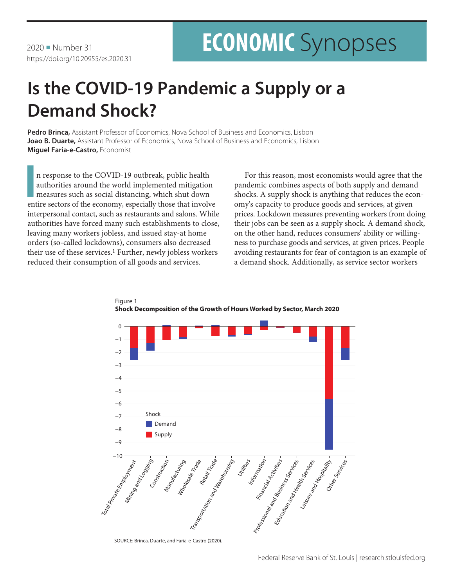2020 • Number 31 https://doi.org/10.20955/es.2020.31

# **ECONOMIC** Synopses

## **Is the COVID-19 Pandemic a Supply or a Demand Shock?**

**Pedro Brinca,** Assistant Professor of Economics, Nova School of Business and Economics, Lisbon **Joao B. Duarte,** Assistant Professor of Economics, Nova School of Business and Economics, Lisbon **Miguel Faria-e-Castro,** Economist

In response to the COVID-19 outbreak, public health authorities around the world implemented mitigation measures such as social distancing, which shut down entire sectors of the economy, especially those that involve n response to the COVID-19 outbreak, public health authorities around the world implemented mitigation measures such as social distancing, which shut down interpersonal contact, such as restaurants and salons. While authorities have forced many such establishments to close, leaving many workers jobless, and issued stay-at home orders (so-called lockdowns), consumers also decreased their use of these services.<sup>1</sup> Further, newly jobless workers reduced their consumption of all goods and services.

Figure 1

For this reason, most economists would agree that the pandemic combines aspects of both supply and demand shocks. A supply shock is anything that reduces the economy's capacity to produce goods and services, at given prices. Lockdown measures preventing workers from doing their jobs can be seen as a supply shock. A demand shock, on the other hand, reduces consumers' ability or willingness to purchase goods and services, at given prices. People avoiding restaurants for fear of contagion is an example of a demand shock. Additionally, as service sector workers



**Shock Decomposition of the Growth of Hours Worked by Sector, March 2020**

SOURCE: Brinca, Duarte, and Faria-e-Castro (2020).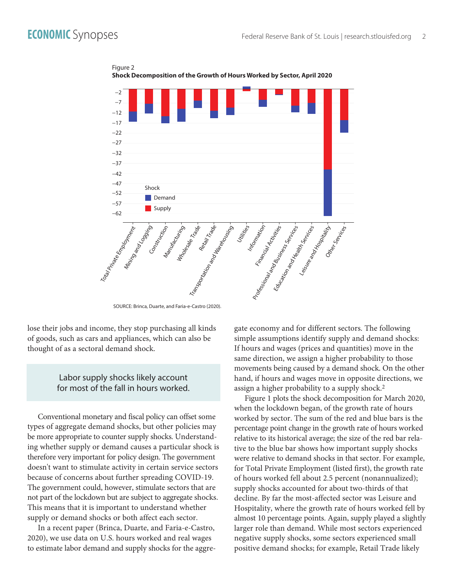

Figure 2 **Shock Decomposition of the Growth of Hours Worked by Sector, April 2020**

SOURCE: Brinca, Duarte, and Faria-e-Castro (2020).

lose their jobs and income, they stop purchasing all kinds of goods, such as cars and appliances, which can also be thought of as a sectoral demand shock.

## Labor supply shocks likely account for most of the fall in hours worked.

Conventional monetary and fiscal policy can offset some types of aggregate demand shocks, but other policies may be more appropriate to counter supply shocks. Understanding whether supply or demand causes a particular shock is therefore very important for policy design. The government doesn't want to stimulate activity in certain service sectors because of concerns about further spreading COVID-19. The government could, however, stimulate sectors that are not part of the lockdown but are subject to aggregate shocks. This means that it is important to understand whether supply or demand shocks or both affect each sector.

In a recent paper (Brinca, Duarte, and Faria-e-Castro, 2020), we use data on U.S. hours worked and real wages to estimate labor demand and supply shocks for the aggregate economy and for different sectors. The following simple assumptions identify supply and demand shocks: If hours and wages (prices and quantities) move in the same direction, we assign a higher probability to those movements being caused by a demand shock. On the other hand, if hours and wages move in opposite directions, we assign a higher probability to a supply shock.2

Figure 1 plots the shock decomposition for March 2020, when the lockdown began, of the growth rate of hours worked by sector. The sum of the red and blue bars is the percentage point change in the growth rate of hours worked relative to its historical average; the size of the red bar relative to the blue bar shows how important supply shocks were relative to demand shocks in that sector. For example, for Total Private Employment (listed first), the growth rate of hours worked fell about 2.5 percent (nonannualized); supply shocks accounted for about two-thirds of that decline. By far the most-affected sector was Leisure and Hospitality, where the growth rate of hours worked fell by almost 10 percentage points. Again, supply played a slightly larger role than demand. While most sectors experienced negative supply shocks, some sectors experienced small positive demand shocks; for example, Retail Trade likely